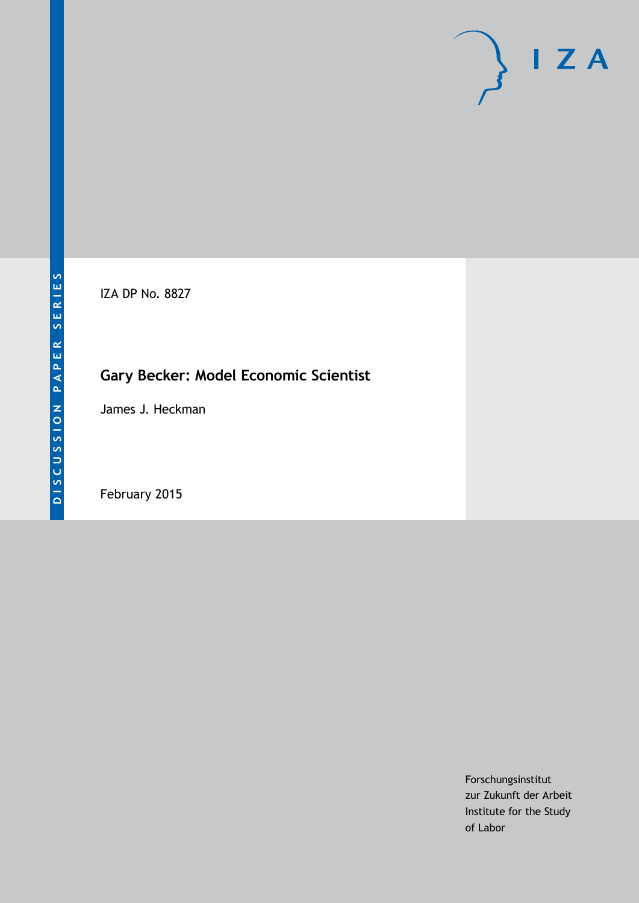IZA DP No. 8827

# **Gary Becker: Model Economic Scientist**

James J. Heckman

February 2015

Forschungsinstitut zur Zukunft der Arbeit Institute for the Study of Labor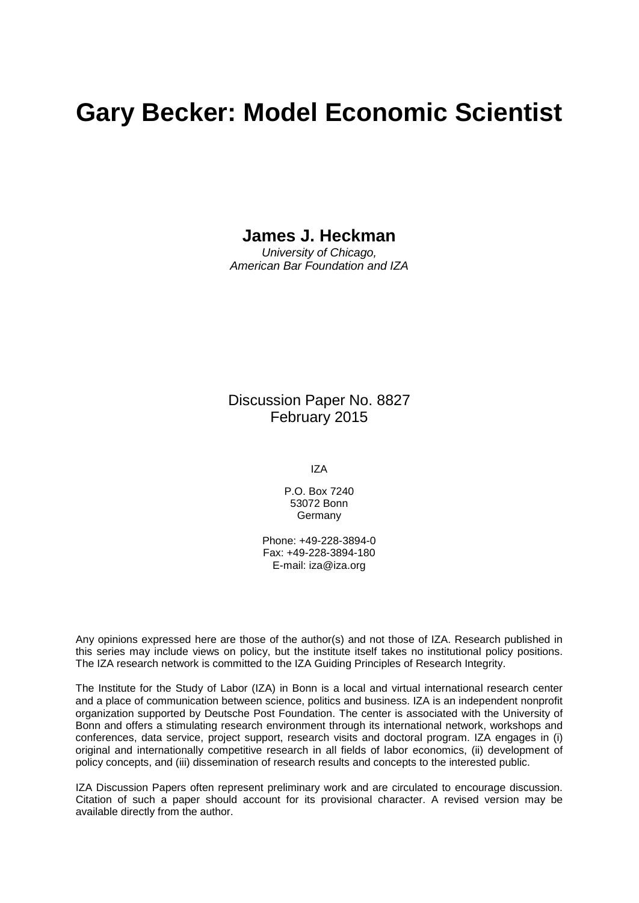# **Gary Becker: Model Economic Scientist**

## **James J. Heckman**

*University of Chicago, American Bar Foundation and IZA*

Discussion Paper No. 8827 February 2015

IZA

P.O. Box 7240 53072 Bonn **Germany** 

Phone: +49-228-3894-0 Fax: +49-228-3894-180 E-mail: [iza@iza.org](mailto:iza@iza.org)

Any opinions expressed here are those of the author(s) and not those of IZA. Research published in this series may include views on policy, but the institute itself takes no institutional policy positions. The IZA research network is committed to the IZA Guiding Principles of Research Integrity.

The Institute for the Study of Labor (IZA) in Bonn is a local and virtual international research center and a place of communication between science, politics and business. IZA is an independent nonprofit organization supported by Deutsche Post Foundation. The center is associated with the University of Bonn and offers a stimulating research environment through its international network, workshops and conferences, data service, project support, research visits and doctoral program. IZA engages in (i) original and internationally competitive research in all fields of labor economics, (ii) development of policy concepts, and (iii) dissemination of research results and concepts to the interested public.

<span id="page-1-0"></span>IZA Discussion Papers often represent preliminary work and are circulated to encourage discussion. Citation of such a paper should account for its provisional character. A revised version may be available directly from the author.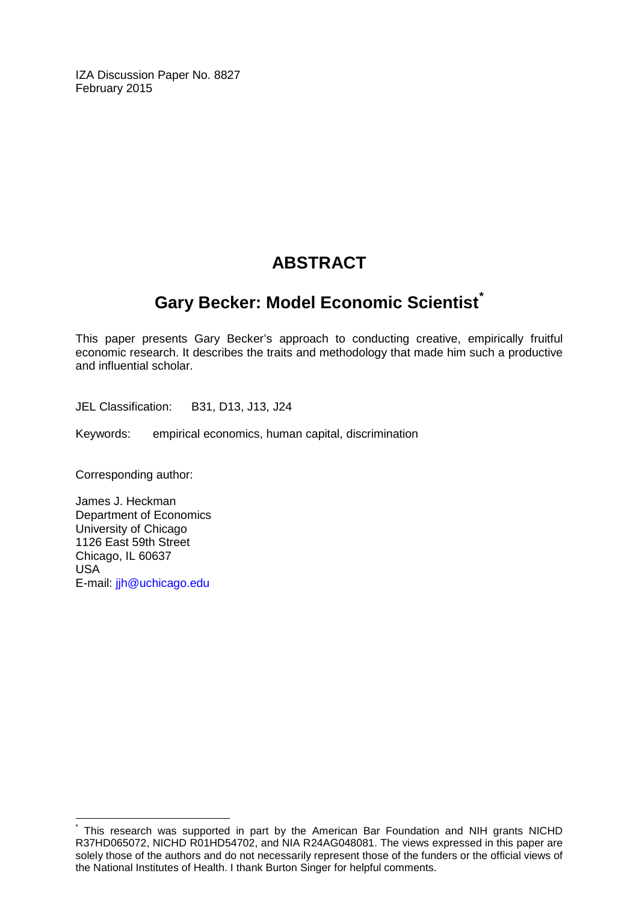IZA Discussion Paper No. 8827 February 2015

## **ABSTRACT**

## **Gary Becker: Model Economic Scientist[\\*](#page-1-0)**

This paper presents Gary Becker's approach to conducting creative, empirically fruitful economic research. It describes the traits and methodology that made him such a productive and influential scholar.

JEL Classification: B31, D13, J13, J24

Keywords: empirical economics, human capital, discrimination

Corresponding author:

James J. Heckman Department of Economics University of Chicago 1126 East 59th Street Chicago, IL 60637 USA E-mail: [jjh@uchicago.edu](mailto:jjh@uchicago.edu)

This research was supported in part by the American Bar Foundation and NIH grants NICHD R37HD065072, NICHD R01HD54702, and NIA R24AG048081. The views expressed in this paper are solely those of the authors and do not necessarily represent those of the funders or the official views of the National Institutes of Health. I thank Burton Singer for helpful comments.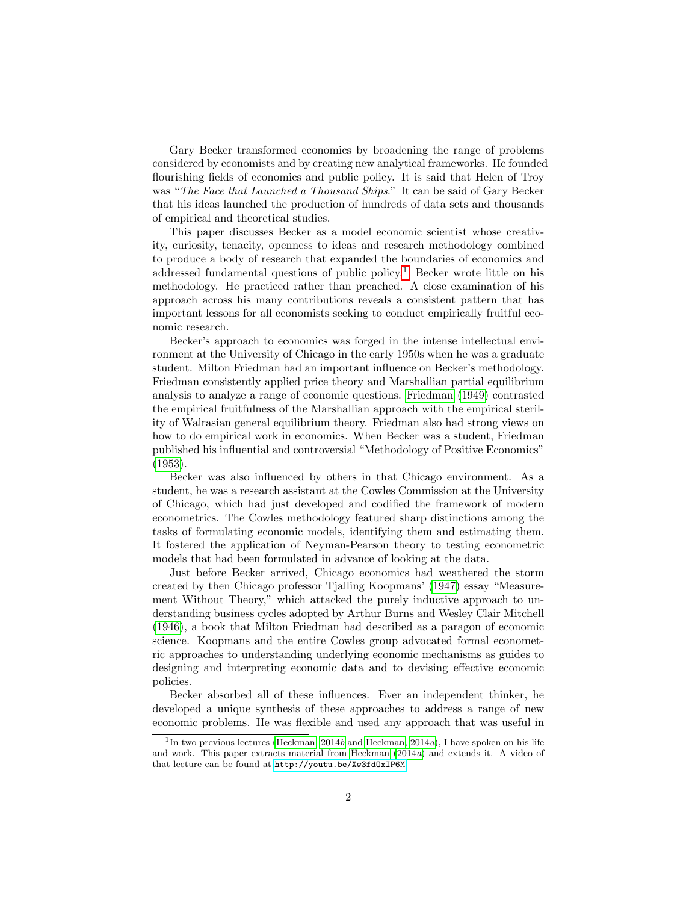Gary Becker transformed economics by broadening the range of problems considered by economists and by creating new analytical frameworks. He founded flourishing fields of economics and public policy. It is said that Helen of Troy was "The Face that Launched a Thousand Ships." It can be said of Gary Becker that his ideas launched the production of hundreds of data sets and thousands of empirical and theoretical studies.

This paper discusses Becker as a model economic scientist whose creativity, curiosity, tenacity, openness to ideas and research methodology combined to produce a body of research that expanded the boundaries of economics and addressed fundamental questions of public policy.<sup>[1](#page-3-0)</sup> Becker wrote little on his methodology. He practiced rather than preached. A close examination of his approach across his many contributions reveals a consistent pattern that has important lessons for all economists seeking to conduct empirically fruitful economic research.

Becker's approach to economics was forged in the intense intellectual environment at the University of Chicago in the early 1950s when he was a graduate student. Milton Friedman had an important influence on Becker's methodology. Friedman consistently applied price theory and Marshallian partial equilibrium analysis to analyze a range of economic questions. [Friedman](#page-9-0) [\(1949\)](#page-9-0) contrasted the empirical fruitfulness of the Marshallian approach with the empirical sterility of Walrasian general equilibrium theory. Friedman also had strong views on how to do empirical work in economics. When Becker was a student, Friedman published his influential and controversial "Methodology of Positive Economics" [\(1953\)](#page-9-1).

Becker was also influenced by others in that Chicago environment. As a student, he was a research assistant at the Cowles Commission at the University of Chicago, which had just developed and codified the framework of modern econometrics. The Cowles methodology featured sharp distinctions among the tasks of formulating economic models, identifying them and estimating them. It fostered the application of Neyman-Pearson theory to testing econometric models that had been formulated in advance of looking at the data.

Just before Becker arrived, Chicago economics had weathered the storm created by then Chicago professor Tjalling Koopmans' [\(1947\)](#page-10-0) essay "Measurement Without Theory," which attacked the purely inductive approach to understanding business cycles adopted by Arthur Burns and Wesley Clair Mitchell [\(1946\)](#page-9-2), a book that Milton Friedman had described as a paragon of economic science. Koopmans and the entire Cowles group advocated formal econometric approaches to understanding underlying economic mechanisms as guides to designing and interpreting economic data and to devising effective economic policies.

Becker absorbed all of these influences. Ever an independent thinker, he developed a unique synthesis of these approaches to address a range of new economic problems. He was flexible and used any approach that was useful in

<span id="page-3-0"></span><sup>&</sup>lt;sup>1</sup>In two previous lectures [\(Heckman, 2014](#page-10-1)b and [Heckman, 2014](#page-10-2)a), I have spoken on his life and work. This paper extracts material from [Heckman](#page-10-2) [\(2014](#page-10-2)a) and extends it. A video of that lecture can be found at <http://youtu.be/Xw3fdOxIP6M>.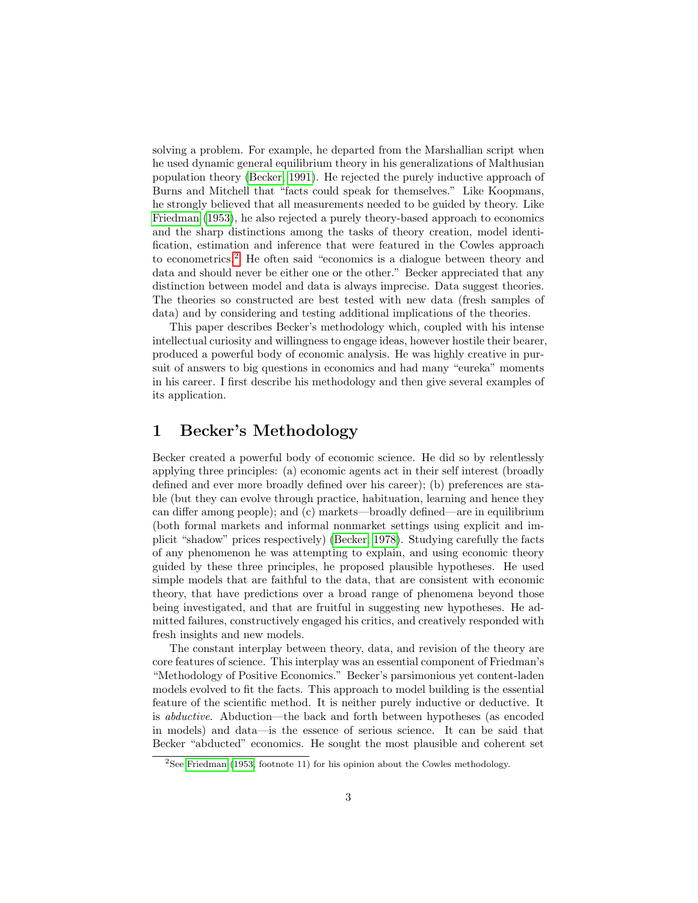solving a problem. For example, he departed from the Marshallian script when he used dynamic general equilibrium theory in his generalizations of Malthusian population theory [\(Becker, 1991\)](#page-9-3). He rejected the purely inductive approach of Burns and Mitchell that "facts could speak for themselves." Like Koopmans, he strongly believed that all measurements needed to be guided by theory. Like [Friedman](#page-9-1) [\(1953\)](#page-9-1), he also rejected a purely theory-based approach to economics and the sharp distinctions among the tasks of theory creation, model identification, estimation and inference that were featured in the Cowles approach to econometrics.[2](#page-4-0) He often said "economics is a dialogue between theory and data and should never be either one or the other." Becker appreciated that any distinction between model and data is always imprecise. Data suggest theories. The theories so constructed are best tested with new data (fresh samples of data) and by considering and testing additional implications of the theories.

This paper describes Becker's methodology which, coupled with his intense intellectual curiosity and willingness to engage ideas, however hostile their bearer, produced a powerful body of economic analysis. He was highly creative in pursuit of answers to big questions in economics and had many "eureka" moments in his career. I first describe his methodology and then give several examples of its application.

#### 1 Becker's Methodology

Becker created a powerful body of economic science. He did so by relentlessly applying three principles: (a) economic agents act in their self interest (broadly defined and ever more broadly defined over his career); (b) preferences are stable (but they can evolve through practice, habituation, learning and hence they can differ among people); and (c) markets—broadly defined—are in equilibrium (both formal markets and informal nonmarket settings using explicit and implicit "shadow" prices respectively) [\(Becker, 1978\)](#page-9-4). Studying carefully the facts of any phenomenon he was attempting to explain, and using economic theory guided by these three principles, he proposed plausible hypotheses. He used simple models that are faithful to the data, that are consistent with economic theory, that have predictions over a broad range of phenomena beyond those being investigated, and that are fruitful in suggesting new hypotheses. He admitted failures, constructively engaged his critics, and creatively responded with fresh insights and new models.

The constant interplay between theory, data, and revision of the theory are core features of science. This interplay was an essential component of Friedman's "Methodology of Positive Economics." Becker's parsimonious yet content-laden models evolved to fit the facts. This approach to model building is the essential feature of the scientific method. It is neither purely inductive or deductive. It is abductive. Abduction—the back and forth between hypotheses (as encoded in models) and data—is the essence of serious science. It can be said that Becker "abducted" economics. He sought the most plausible and coherent set

<span id="page-4-0"></span> $2$ See [Friedman](#page-9-1) [\(1953,](#page-9-1) footnote 11) for his opinion about the Cowles methodology.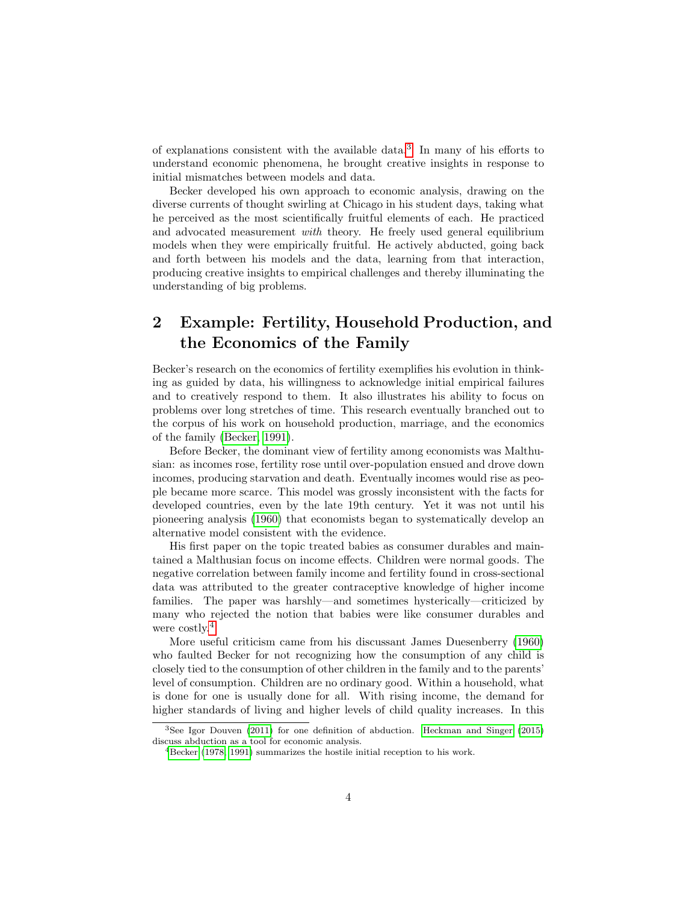of explanations consistent with the available data.[3](#page-5-0) In many of his efforts to understand economic phenomena, he brought creative insights in response to initial mismatches between models and data.

Becker developed his own approach to economic analysis, drawing on the diverse currents of thought swirling at Chicago in his student days, taking what he perceived as the most scientifically fruitful elements of each. He practiced and advocated measurement with theory. He freely used general equilibrium models when they were empirically fruitful. He actively abducted, going back and forth between his models and the data, learning from that interaction, producing creative insights to empirical challenges and thereby illuminating the understanding of big problems.

### 2 Example: Fertility, Household Production, and the Economics of the Family

Becker's research on the economics of fertility exemplifies his evolution in thinking as guided by data, his willingness to acknowledge initial empirical failures and to creatively respond to them. It also illustrates his ability to focus on problems over long stretches of time. This research eventually branched out to the corpus of his work on household production, marriage, and the economics of the family [\(Becker, 1991\)](#page-9-3).

Before Becker, the dominant view of fertility among economists was Malthusian: as incomes rose, fertility rose until over-population ensued and drove down incomes, producing starvation and death. Eventually incomes would rise as people became more scarce. This model was grossly inconsistent with the facts for developed countries, even by the late 19th century. Yet it was not until his pioneering analysis [\(1960\)](#page-9-5) that economists began to systematically develop an alternative model consistent with the evidence.

His first paper on the topic treated babies as consumer durables and maintained a Malthusian focus on income effects. Children were normal goods. The negative correlation between family income and fertility found in cross-sectional data was attributed to the greater contraceptive knowledge of higher income families. The paper was harshly—and sometimes hysterically—criticized by many who rejected the notion that babies were like consumer durables and were costly.<sup>[4](#page-5-1)</sup>

More useful criticism came from his discussant James Duesenberry [\(1960\)](#page-9-6) who faulted Becker for not recognizing how the consumption of any child is closely tied to the consumption of other children in the family and to the parents' level of consumption. Children are no ordinary good. Within a household, what is done for one is usually done for all. With rising income, the demand for higher standards of living and higher levels of child quality increases. In this

<span id="page-5-0"></span><sup>3</sup>See Igor Douven [\(2011\)](#page-9-7) for one definition of abduction. [Heckman and Singer](#page-10-3) [\(2015\)](#page-10-3) discuss abduction as a tool for economic analysis.

<span id="page-5-1"></span><sup>&</sup>lt;sup>4</sup>[Becker](#page-9-4) [\(1978,](#page-9-4) [1991\)](#page-9-3) summarizes the hostile initial reception to his work.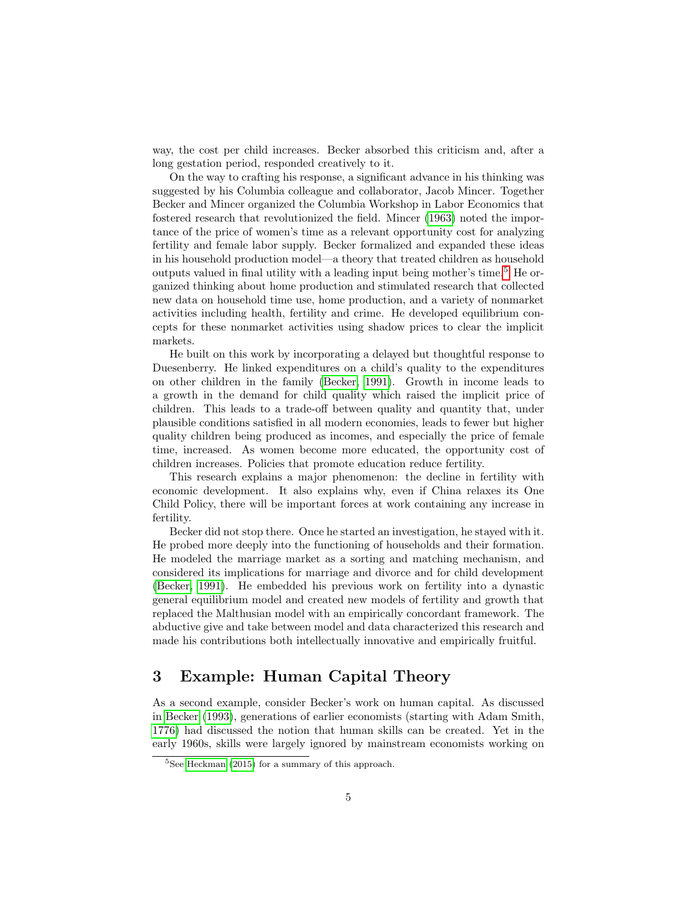way, the cost per child increases. Becker absorbed this criticism and, after a long gestation period, responded creatively to it.

On the way to crafting his response, a significant advance in his thinking was suggested by his Columbia colleague and collaborator, Jacob Mincer. Together Becker and Mincer organized the Columbia Workshop in Labor Economics that fostered research that revolutionized the field. Mincer [\(1963\)](#page-10-4) noted the importance of the price of women's time as a relevant opportunity cost for analyzing fertility and female labor supply. Becker formalized and expanded these ideas in his household production model—a theory that treated children as household outputs valued in final utility with a leading input being mother's time.[5](#page-6-0) He organized thinking about home production and stimulated research that collected new data on household time use, home production, and a variety of nonmarket activities including health, fertility and crime. He developed equilibrium concepts for these nonmarket activities using shadow prices to clear the implicit markets.

He built on this work by incorporating a delayed but thoughtful response to Duesenberry. He linked expenditures on a child's quality to the expenditures on other children in the family [\(Becker, 1991\)](#page-9-3). Growth in income leads to a growth in the demand for child quality which raised the implicit price of children. This leads to a trade-off between quality and quantity that, under plausible conditions satisfied in all modern economies, leads to fewer but higher quality children being produced as incomes, and especially the price of female time, increased. As women become more educated, the opportunity cost of children increases. Policies that promote education reduce fertility.

This research explains a major phenomenon: the decline in fertility with economic development. It also explains why, even if China relaxes its One Child Policy, there will be important forces at work containing any increase in fertility.

Becker did not stop there. Once he started an investigation, he stayed with it. He probed more deeply into the functioning of households and their formation. He modeled the marriage market as a sorting and matching mechanism, and considered its implications for marriage and divorce and for child development [\(Becker, 1991\)](#page-9-3). He embedded his previous work on fertility into a dynastic general equilibrium model and created new models of fertility and growth that replaced the Malthusian model with an empirically concordant framework. The abductive give and take between model and data characterized this research and made his contributions both intellectually innovative and empirically fruitful.

#### 3 Example: Human Capital Theory

As a second example, consider Becker's work on human capital. As discussed in [Becker](#page-9-8) [\(1993\)](#page-9-8), generations of earlier economists (starting with Adam Smith, [1776\)](#page-10-5) had discussed the notion that human skills can be created. Yet in the early 1960s, skills were largely ignored by mainstream economists working on

<span id="page-6-0"></span><sup>5</sup>See [Heckman](#page-10-6) [\(2015\)](#page-10-6) for a summary of this approach.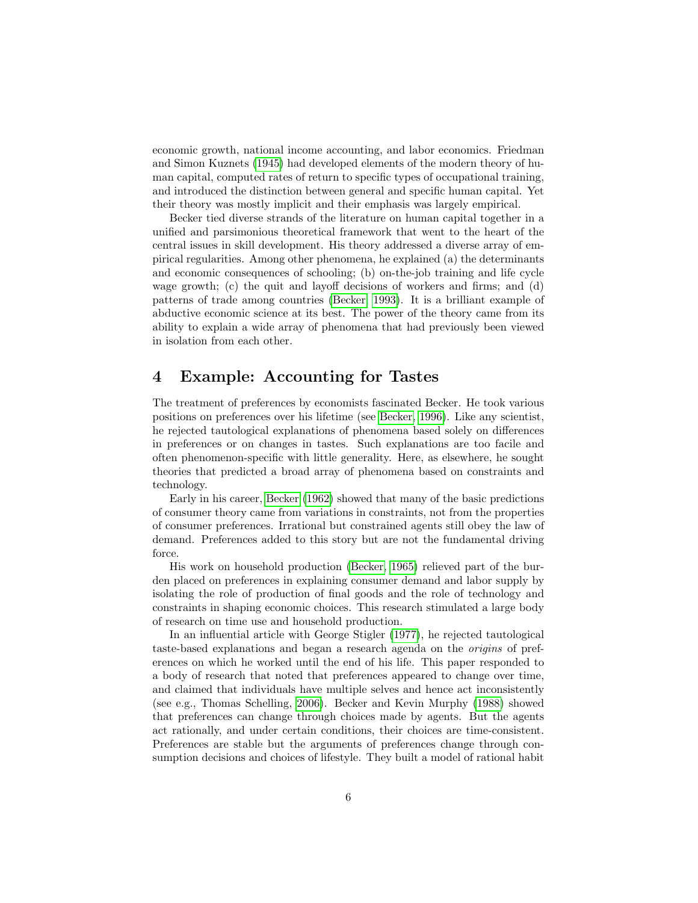economic growth, national income accounting, and labor economics. Friedman and Simon Kuznets [\(1945\)](#page-10-7) had developed elements of the modern theory of human capital, computed rates of return to specific types of occupational training, and introduced the distinction between general and specific human capital. Yet their theory was mostly implicit and their emphasis was largely empirical.

Becker tied diverse strands of the literature on human capital together in a unified and parsimonious theoretical framework that went to the heart of the central issues in skill development. His theory addressed a diverse array of empirical regularities. Among other phenomena, he explained (a) the determinants and economic consequences of schooling; (b) on-the-job training and life cycle wage growth; (c) the quit and layoff decisions of workers and firms; and (d) patterns of trade among countries [\(Becker, 1993\)](#page-9-8). It is a brilliant example of abductive economic science at its best. The power of the theory came from its ability to explain a wide array of phenomena that had previously been viewed in isolation from each other.

#### 4 Example: Accounting for Tastes

The treatment of preferences by economists fascinated Becker. He took various positions on preferences over his lifetime (see [Becker, 1996\)](#page-9-9). Like any scientist, he rejected tautological explanations of phenomena based solely on differences in preferences or on changes in tastes. Such explanations are too facile and often phenomenon-specific with little generality. Here, as elsewhere, he sought theories that predicted a broad array of phenomena based on constraints and technology.

Early in his career, [Becker](#page-9-10) [\(1962\)](#page-9-10) showed that many of the basic predictions of consumer theory came from variations in constraints, not from the properties of consumer preferences. Irrational but constrained agents still obey the law of demand. Preferences added to this story but are not the fundamental driving force.

His work on household production [\(Becker, 1965\)](#page-9-11) relieved part of the burden placed on preferences in explaining consumer demand and labor supply by isolating the role of production of final goods and the role of technology and constraints in shaping economic choices. This research stimulated a large body of research on time use and household production.

In an influential article with George Stigler [\(1977\)](#page-10-8), he rejected tautological taste-based explanations and began a research agenda on the origins of preferences on which he worked until the end of his life. This paper responded to a body of research that noted that preferences appeared to change over time, and claimed that individuals have multiple selves and hence act inconsistently (see e.g., Thomas Schelling, [2006\)](#page-10-9). Becker and Kevin Murphy [\(1988\)](#page-9-12) showed that preferences can change through choices made by agents. But the agents act rationally, and under certain conditions, their choices are time-consistent. Preferences are stable but the arguments of preferences change through consumption decisions and choices of lifestyle. They built a model of rational habit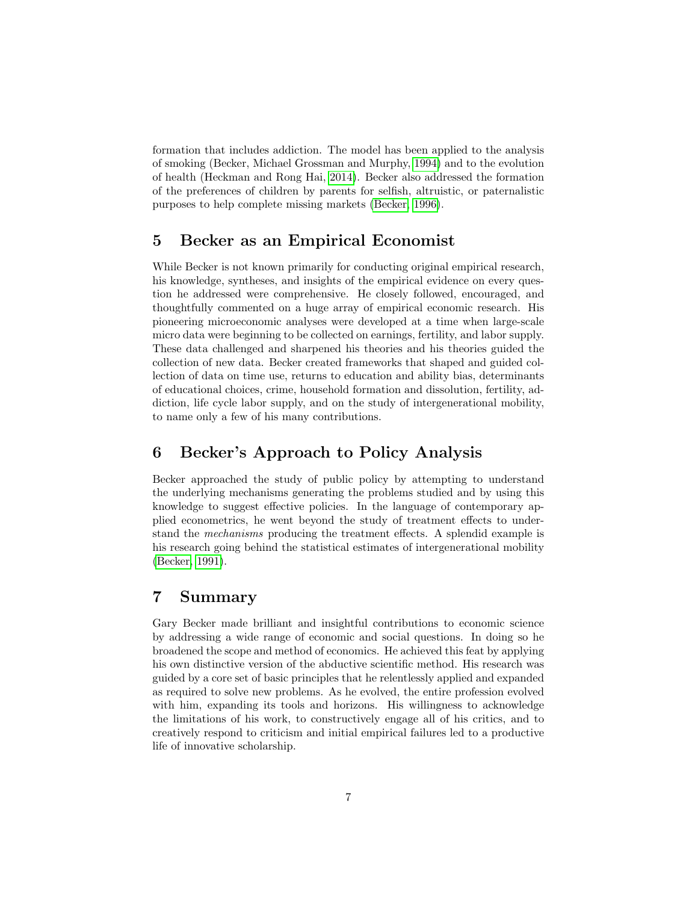formation that includes addiction. The model has been applied to the analysis of smoking (Becker, Michael Grossman and Murphy, [1994\)](#page-9-13) and to the evolution of health (Heckman and Rong Hai, [2014\)](#page-10-10). Becker also addressed the formation of the preferences of children by parents for selfish, altruistic, or paternalistic purposes to help complete missing markets [\(Becker, 1996\)](#page-9-9).

#### 5 Becker as an Empirical Economist

While Becker is not known primarily for conducting original empirical research, his knowledge, syntheses, and insights of the empirical evidence on every question he addressed were comprehensive. He closely followed, encouraged, and thoughtfully commented on a huge array of empirical economic research. His pioneering microeconomic analyses were developed at a time when large-scale micro data were beginning to be collected on earnings, fertility, and labor supply. These data challenged and sharpened his theories and his theories guided the collection of new data. Becker created frameworks that shaped and guided collection of data on time use, returns to education and ability bias, determinants of educational choices, crime, household formation and dissolution, fertility, addiction, life cycle labor supply, and on the study of intergenerational mobility, to name only a few of his many contributions.

#### 6 Becker's Approach to Policy Analysis

Becker approached the study of public policy by attempting to understand the underlying mechanisms generating the problems studied and by using this knowledge to suggest effective policies. In the language of contemporary applied econometrics, he went beyond the study of treatment effects to understand the mechanisms producing the treatment effects. A splendid example is his research going behind the statistical estimates of intergenerational mobility [\(Becker, 1991\)](#page-9-3).

#### 7 Summary

Gary Becker made brilliant and insightful contributions to economic science by addressing a wide range of economic and social questions. In doing so he broadened the scope and method of economics. He achieved this feat by applying his own distinctive version of the abductive scientific method. His research was guided by a core set of basic principles that he relentlessly applied and expanded as required to solve new problems. As he evolved, the entire profession evolved with him, expanding its tools and horizons. His willingness to acknowledge the limitations of his work, to constructively engage all of his critics, and to creatively respond to criticism and initial empirical failures led to a productive life of innovative scholarship.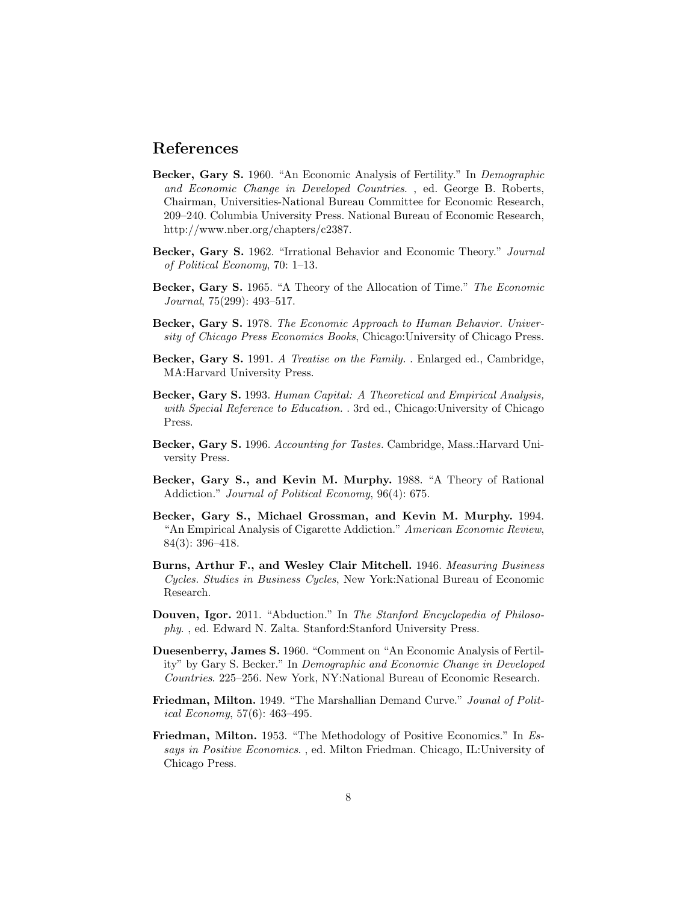#### References

- <span id="page-9-5"></span>Becker, Gary S. 1960. "An Economic Analysis of Fertility." In Demographic and Economic Change in Developed Countries. , ed. George B. Roberts, Chairman, Universities-National Bureau Committee for Economic Research, 209–240. Columbia University Press. National Bureau of Economic Research, http://www.nber.org/chapters/c2387.
- <span id="page-9-10"></span>Becker, Gary S. 1962. "Irrational Behavior and Economic Theory." Journal of Political Economy, 70: 1–13.
- <span id="page-9-11"></span>Becker, Gary S. 1965. "A Theory of the Allocation of Time." The Economic Journal, 75(299): 493–517.
- <span id="page-9-4"></span>Becker, Gary S. 1978. The Economic Approach to Human Behavior. University of Chicago Press Economics Books, Chicago:University of Chicago Press.
- <span id="page-9-3"></span>Becker, Gary S. 1991. A Treatise on the Family. . Enlarged ed., Cambridge, MA:Harvard University Press.
- <span id="page-9-8"></span>Becker, Gary S. 1993. Human Capital: A Theoretical and Empirical Analysis, with Special Reference to Education. . 3rd ed., Chicago: University of Chicago Press.
- <span id="page-9-9"></span>Becker, Gary S. 1996. Accounting for Tastes. Cambridge, Mass.:Harvard University Press.
- <span id="page-9-12"></span>Becker, Gary S., and Kevin M. Murphy. 1988. "A Theory of Rational Addiction." Journal of Political Economy, 96(4): 675.
- <span id="page-9-13"></span>Becker, Gary S., Michael Grossman, and Kevin M. Murphy. 1994. "An Empirical Analysis of Cigarette Addiction." American Economic Review, 84(3): 396–418.
- <span id="page-9-2"></span>Burns, Arthur F., and Wesley Clair Mitchell. 1946. Measuring Business Cycles. Studies in Business Cycles, New York:National Bureau of Economic Research.
- <span id="page-9-7"></span>Douven, Igor. 2011. "Abduction." In The Stanford Encyclopedia of Philosophy. , ed. Edward N. Zalta. Stanford:Stanford University Press.
- <span id="page-9-6"></span>Duesenberry, James S. 1960. "Comment on "An Economic Analysis of Fertility" by Gary S. Becker." In Demographic and Economic Change in Developed Countries. 225–256. New York, NY:National Bureau of Economic Research.
- <span id="page-9-0"></span>Friedman, Milton. 1949. "The Marshallian Demand Curve." Jounal of Political Economy, 57(6): 463–495.
- <span id="page-9-1"></span>Friedman, Milton. 1953. "The Methodology of Positive Economics." In Essays in Positive Economics. , ed. Milton Friedman. Chicago, IL:University of Chicago Press.